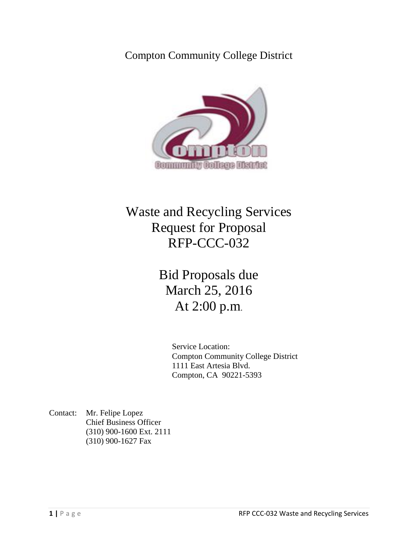Compton Community College District



# Waste and Recycling Services Request for Proposal RFP-CCC-032

Bid Proposals due March 25, 2016 At 2:00 p.m.

> Service Location: Compton Community College District 1111 East Artesia Blvd. Compton, CA 90221-5393

Contact: Mr. Felipe Lopez Chief Business Officer (310) 900-1600 Ext. 2111 (310) 900-1627 Fax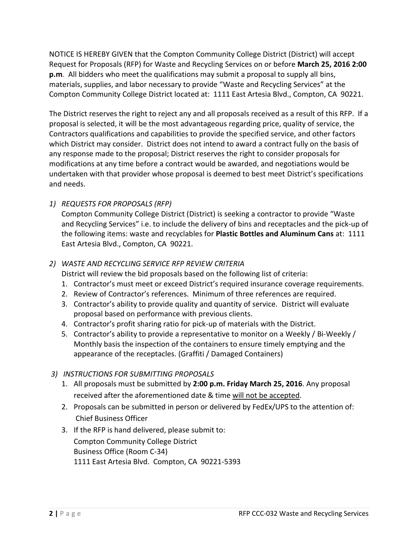NOTICE IS HEREBY GIVEN that the Compton Community College District (District) will accept Request for Proposals (RFP) for Waste and Recycling Services on or before **March 25, 2016 2:00 p.m**. All bidders who meet the qualifications may submit a proposal to supply all bins, materials, supplies, and labor necessary to provide "Waste and Recycling Services" at the Compton Community College District located at: 1111 East Artesia Blvd., Compton, CA 90221.

The District reserves the right to reject any and all proposals received as a result of this RFP. If a proposal is selected, it will be the most advantageous regarding price, quality of service, the Contractors qualifications and capabilities to provide the specified service, and other factors which District may consider. District does not intend to award a contract fully on the basis of any response made to the proposal; District reserves the right to consider proposals for modifications at any time before a contract would be awarded, and negotiations would be undertaken with that provider whose proposal is deemed to best meet District's specifications and needs.

# *1) REQUESTS FOR PROPOSALS (RFP)*

Compton Community College District (District) is seeking a contractor to provide "Waste and Recycling Services" i.e. to include the delivery of bins and receptacles and the pick-up of the following items: waste and recyclables for **Plastic Bottles and Aluminum Cans** at: 1111 East Artesia Blvd., Compton, CA 90221.

# *2) WASTE AND RECYCLING SERVICE RFP REVIEW CRITERIA*

District will review the bid proposals based on the following list of criteria:

- 1. Contractor's must meet or exceed District's required insurance coverage requirements.
- 2. Review of Contractor's references. Minimum of three references are required.
- 3. Contractor's ability to provide quality and quantity of service. District will evaluate proposal based on performance with previous clients.
- 4. Contractor's profit sharing ratio for pick-up of materials with the District.
- 5. Contractor's ability to provide a representative to monitor on a Weekly / Bi-Weekly / Monthly basis the inspection of the containers to ensure timely emptying and the appearance of the receptacles. (Graffiti / Damaged Containers)

# *3) INSTRUCTIONS FOR SUBMITTING PROPOSALS*

- 1. All proposals must be submitted by **2:00 p.m. Friday March 25, 2016**. Any proposal received after the aforementioned date & time will not be accepted.
- 2. Proposals can be submitted in person or delivered by FedEx/UPS to the attention of: Chief Business Officer
- 3. If the RFP is hand delivered, please submit to: Compton Community College District Business Office (Room C-34) 1111 East Artesia Blvd. Compton, CA 90221-5393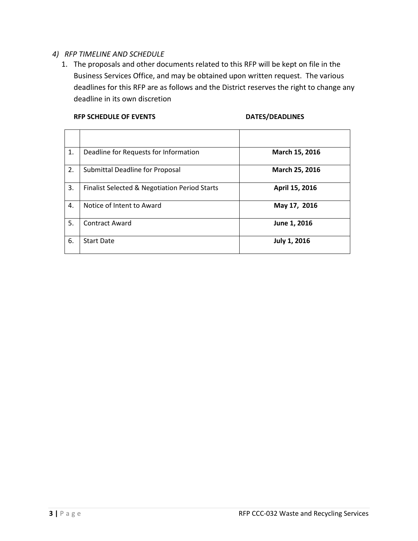# *4) RFP TIMELINE AND SCHEDULE*

1. The proposals and other documents related to this RFP will be kept on file in the Business Services Office, and may be obtained upon written request. The various deadlines for this RFP are as follows and the District reserves the right to change any deadline in its own discretion

### RFP SCHEDULE OF EVENTS **DATES/DEADLINES**

| 1. | Deadline for Requests for Information         | March 15, 2016 |
|----|-----------------------------------------------|----------------|
| 2. | Submittal Deadline for Proposal               | March 25, 2016 |
| 3. | Finalist Selected & Negotiation Period Starts | April 15, 2016 |
| 4. | Notice of Intent to Award                     | May 17, 2016   |
| 5. | <b>Contract Award</b>                         | June 1, 2016   |
| 6. | <b>Start Date</b>                             | July 1, 2016   |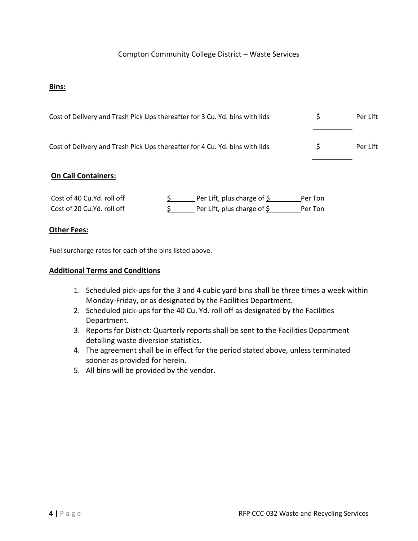# Compton Community College District – Waste Services

#### **Bins:**

| Cost of Delivery and Trash Pick Ups thereafter for 3 Cu. Yd. bins with lids | Per Lift |
|-----------------------------------------------------------------------------|----------|
| Cost of Delivery and Trash Pick Ups thereafter for 4 Cu. Yd. bins with lids | Per Lift |

#### **On Call Containers:**

| Cost of 40 Cu.Yd. roll off | Per Lift, plus charge of $\zeta$ | Per Ton |
|----------------------------|----------------------------------|---------|
| Cost of 20 Cu.Yd. roll off | Per Lift, plus charge of \$      | Per Ton |

#### **Other Fees:**

Fuel surcharge rates for each of the bins listed above.

#### **Additional Terms and Conditions**

- 1. Scheduled pick-ups for the 3 and 4 cubic yard bins shall be three times a week within Monday-Friday, or as designated by the Facilities Department.
- 2. Scheduled pick-ups for the 40 Cu. Yd. roll off as designated by the Facilities Department.
- 3. Reports for District: Quarterly reports shall be sent to the Facilities Department detailing waste diversion statistics.
- 4. The agreement shall be in effect for the period stated above, unless terminated sooner as provided for herein.
- 5. All bins will be provided by the vendor.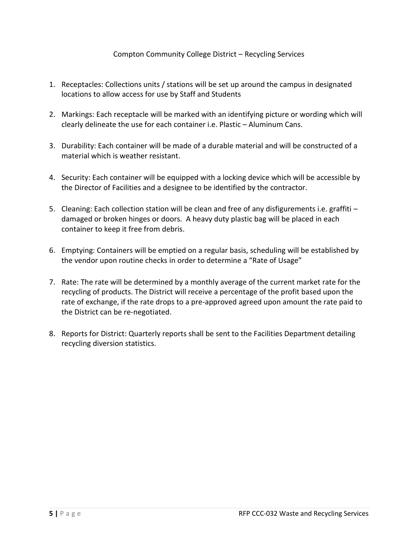# Compton Community College District – Recycling Services

- 1. Receptacles: Collections units / stations will be set up around the campus in designated locations to allow access for use by Staff and Students
- 2. Markings: Each receptacle will be marked with an identifying picture or wording which will clearly delineate the use for each container i.e. Plastic – Aluminum Cans.
- 3. Durability: Each container will be made of a durable material and will be constructed of a material which is weather resistant.
- 4. Security: Each container will be equipped with a locking device which will be accessible by the Director of Facilities and a designee to be identified by the contractor.
- 5. Cleaning: Each collection station will be clean and free of any disfigurements i.e. graffiti damaged or broken hinges or doors. A heavy duty plastic bag will be placed in each container to keep it free from debris.
- 6. Emptying: Containers will be emptied on a regular basis, scheduling will be established by the vendor upon routine checks in order to determine a "Rate of Usage"
- 7. Rate: The rate will be determined by a monthly average of the current market rate for the recycling of products. The District will receive a percentage of the profit based upon the rate of exchange, if the rate drops to a pre-approved agreed upon amount the rate paid to the District can be re-negotiated.
- 8. Reports for District: Quarterly reports shall be sent to the Facilities Department detailing recycling diversion statistics.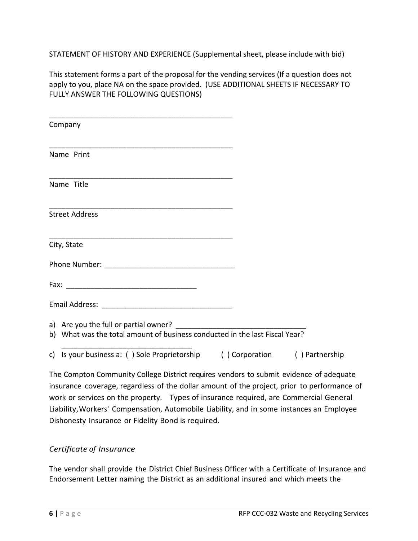STATEMENT OF HISTORY AND EXPERIENCE (Supplemental sheet, please include with bid)

This statement forms a part of the proposal for the vending services (If a question does not apply to you, place NA on the space provided. (USE ADDITIONAL SHEETS IF NECESSARY TO FULLY ANSWER THE FOLLOWING QUESTIONS)

| Company                                                                     |                |                |
|-----------------------------------------------------------------------------|----------------|----------------|
| Name Print                                                                  |                |                |
| Name Title                                                                  |                |                |
| <b>Street Address</b>                                                       |                |                |
| City, State                                                                 |                |                |
|                                                                             |                |                |
|                                                                             |                |                |
|                                                                             |                |                |
| b) What was the total amount of business conducted in the last Fiscal Year? |                |                |
| Is your business a: () Sole Proprietorship<br>C)                            | () Corporation | () Partnership |

The Compton Community College District requires vendors to submit evidence of adequate insurance coverage, regardless of the dollar amount of the project, prior to performance of work or services on the property. Types of insurance required, are Commercial General Liability,Workers' Compensation, Automobile Liability, and in some instances an Employee Dishonesty Insurance or Fidelity Bond is required.

# *Certificate of Insurance*

The vendor shall provide the District Chief Business Officer with a Certificate of Insurance and Endorsement Letter naming the District as an additional insured and which meets the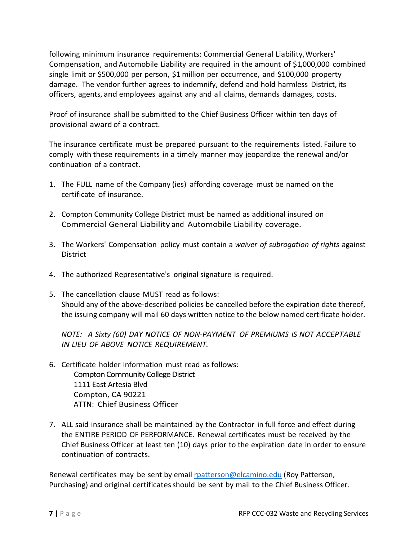following minimum insurance requirements: Commercial General Liability,Workers' Compensation, and Automobile Liability are required in the amount of \$1,000,000 combined single limit or \$500,000 per person, \$1 million per occurrence, and \$100,000 property damage. The vendor further agrees to indemnify, defend and hold harmless District, its officers, agents, and employees against any and all claims, demands damages, costs.

Proof of insurance shall be submitted to the Chief Business Officer within ten days of provisional award of a contract.

The insurance certificate must be prepared pursuant to the requirements listed. Failure to comply with these requirements in a timely manner may jeopardize the renewal and/or continuation of a contract.

- 1. The FULL name of the Company (ies) affording coverage must be named on the certificate of insurance.
- 2. Compton Community College District must be named as additional insured on Commercial General Liability and Automobile Liability coverage.
- 3. The Workers' Compensation policy must contain a *waiver of subrogation of rights* against **District**
- 4. The authorized Representative's original signature is required.
- 5. The cancellation clause MUST read as follows: Should any of the above-described policies be cancelled before the expiration date thereof, the issuing company will mail 60 days written notice to the below named certificate holder.

*NOTE: A Sixty (60) DAY NOTICE OF NON-PAYMENT OF PREMIUMS IS NOT ACCEPTABLE IN LIEU OF ABOVE NOTICE REQUIREMENT.*

- 6. Certificate holder information must read as follows: Compton Community College District 1111 East Artesia Blvd Compton, CA 90221 ATTN: Chief Business Officer
- 7. ALL said insurance shall be maintained by the Contractor in full force and effect during the ENTIRE PERIOD OF PERFORMANCE. Renewal certificates must be received by the Chief Business Officer at least ten (10) days prior to the expiration date in order to ensure continuation of contracts.

Renewal certificates may be sent by email [rpatterson@elcamino.edu](mailto:rpatterson@elcamino.edu) (Roy Patterson, Purchasing) and original certificates should be sent by mail to the Chief Business Officer.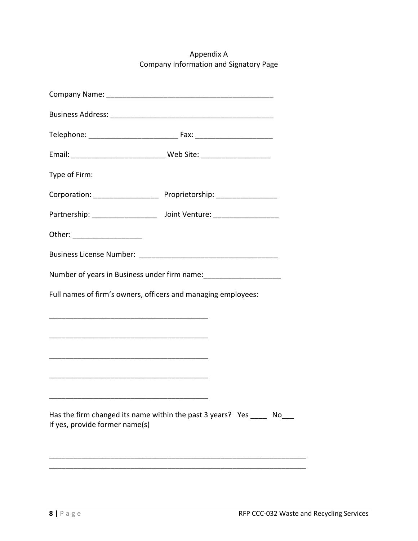Appendix A Company Information and Signatory Page

| Type of Firm:                                                                      |                                                                                             |
|------------------------------------------------------------------------------------|---------------------------------------------------------------------------------------------|
|                                                                                    |                                                                                             |
|                                                                                    | Partnership: _____________________ Joint Venture: ______________________________            |
| Other: ____________________                                                        |                                                                                             |
|                                                                                    |                                                                                             |
|                                                                                    | Number of years in Business under firm name: Manager Mumber of years in Business under firm |
| Full names of firm's owners, officers and managing employees:                      |                                                                                             |
|                                                                                    |                                                                                             |
|                                                                                    |                                                                                             |
| <u> 1980 - Jan James James Barnett, amerikan bizko arteko hamarkada (h. 1980).</u> |                                                                                             |
|                                                                                    |                                                                                             |
|                                                                                    |                                                                                             |
| If yes, provide former name(s)                                                     | Has the firm changed its name within the past 3 years? Yes No                               |
|                                                                                    |                                                                                             |
|                                                                                    |                                                                                             |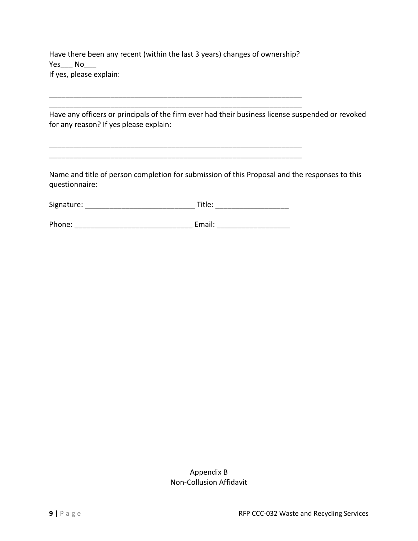Have there been any recent (within the last 3 years) changes of ownership? Yes\_\_\_ No If yes, please explain:

\_\_\_\_\_\_\_\_\_\_\_\_\_\_\_\_\_\_\_\_\_\_\_\_\_\_\_\_\_\_\_\_\_\_\_\_\_\_\_\_\_\_\_\_\_\_\_\_\_\_\_\_\_\_\_\_\_\_\_\_\_\_ \_\_\_\_\_\_\_\_\_\_\_\_\_\_\_\_\_\_\_\_\_\_\_\_\_\_\_\_\_\_\_\_\_\_\_\_\_\_\_\_\_\_\_\_\_\_\_\_\_\_\_\_\_\_\_\_\_\_\_\_\_\_

\_\_\_\_\_\_\_\_\_\_\_\_\_\_\_\_\_\_\_\_\_\_\_\_\_\_\_\_\_\_\_\_\_\_\_\_\_\_\_\_\_\_\_\_\_\_\_\_\_\_\_\_\_\_\_\_\_\_\_\_\_\_ \_\_\_\_\_\_\_\_\_\_\_\_\_\_\_\_\_\_\_\_\_\_\_\_\_\_\_\_\_\_\_\_\_\_\_\_\_\_\_\_\_\_\_\_\_\_\_\_\_\_\_\_\_\_\_\_\_\_\_\_\_\_

Have any officers or principals of the firm ever had their business license suspended or revoked for any reason? If yes please explain:

Name and title of person completion for submission of this Proposal and the responses to this questionnaire:

| Signature: | Title: |  |
|------------|--------|--|
|            |        |  |

Phone: \_\_\_\_\_\_\_\_\_\_\_\_\_\_\_\_\_\_\_\_\_\_\_\_\_\_\_\_\_ Email: \_\_\_\_\_\_\_\_\_\_\_\_\_\_\_\_\_\_

# Appendix B Non-Collusion Affidavit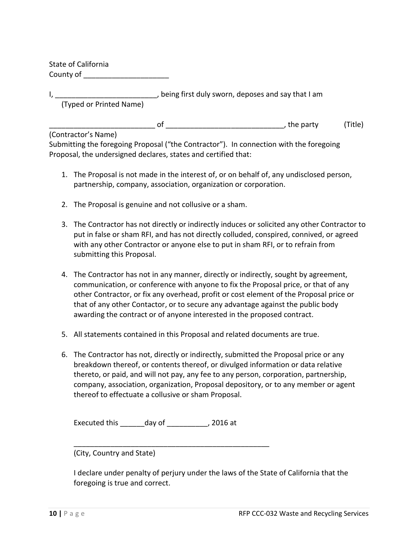State of California County of **Example 20** 

| , being first duly sworn, deposes and say that I am |  |
|-----------------------------------------------------|--|
| (Typed or Printed Name)                             |  |

of the party of the party of the party of  $\overline{C}$ , the party (Title)

(Contractor's Name)

Submitting the foregoing Proposal ("the Contractor"). In connection with the foregoing Proposal, the undersigned declares, states and certified that:

- 1. The Proposal is not made in the interest of, or on behalf of, any undisclosed person, partnership, company, association, organization or corporation.
- 2. The Proposal is genuine and not collusive or a sham.
- 3. The Contractor has not directly or indirectly induces or solicited any other Contractor to put in false or sham RFI, and has not directly colluded, conspired, connived, or agreed with any other Contractor or anyone else to put in sham RFI, or to refrain from submitting this Proposal.
- 4. The Contractor has not in any manner, directly or indirectly, sought by agreement, communication, or conference with anyone to fix the Proposal price, or that of any other Contractor, or fix any overhead, profit or cost element of the Proposal price or that of any other Contactor, or to secure any advantage against the public body awarding the contract or of anyone interested in the proposed contract.
- 5. All statements contained in this Proposal and related documents are true.
- 6. The Contractor has not, directly or indirectly, submitted the Proposal price or any breakdown thereof, or contents thereof, or divulged information or data relative thereto, or paid, and will not pay, any fee to any person, corporation, partnership, company, association, organization, Proposal depository, or to any member or agent thereof to effectuate a collusive or sham Proposal.

Executed this \_\_\_\_\_\_day of \_\_\_\_\_\_\_\_\_\_, 2016 at

(City, Country and State)

I declare under penalty of perjury under the laws of the State of California that the foregoing is true and correct.

\_\_\_\_\_\_\_\_\_\_\_\_\_\_\_\_\_\_\_\_\_\_\_\_\_\_\_\_\_\_\_\_\_\_\_\_\_\_\_\_\_\_\_\_\_\_\_\_